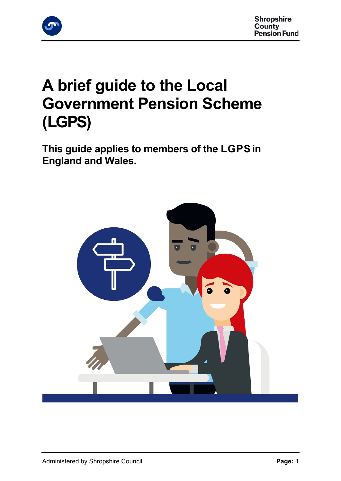

# **A brief guide to the Local Government Pension Scheme (LGPS)**

**This guide applies to members of the LGPS in England and Wales.**

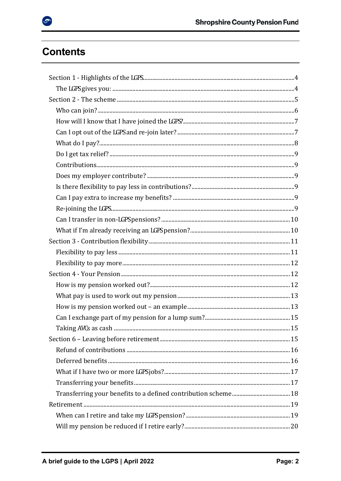# **Contents**

 $\bullet$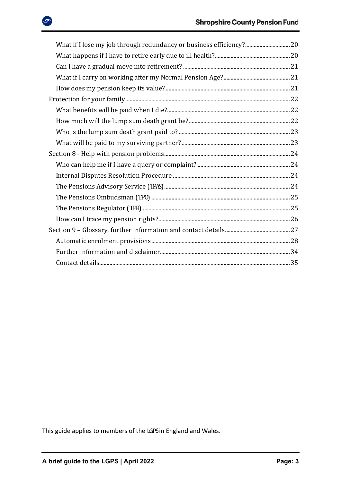| What if I lose my job through redundancy or business efficiency? 20 |  |
|---------------------------------------------------------------------|--|
|                                                                     |  |
|                                                                     |  |
|                                                                     |  |
|                                                                     |  |
|                                                                     |  |
|                                                                     |  |
|                                                                     |  |
|                                                                     |  |
|                                                                     |  |
|                                                                     |  |
|                                                                     |  |
|                                                                     |  |
|                                                                     |  |
|                                                                     |  |
|                                                                     |  |
|                                                                     |  |
|                                                                     |  |
|                                                                     |  |
|                                                                     |  |
|                                                                     |  |

This guide applies to members of the LGPS in England and Wales.

ு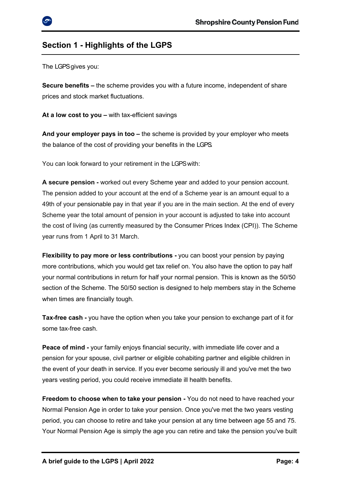### <span id="page-3-0"></span>**Section 1 - Highlights of the LGPS**

<span id="page-3-1"></span>The LGPS gives you:

**Secure benefits –** the scheme provides you with a future income, independent of share prices and stock market fluctuations.

**At a low cost to you –** with tax-efficient savings

**And your employer pays in too –** the scheme is provided by your employer who meets the balance of the cost of providing your benefits in the LGPS.

You can look forward to your retirement in the LGPS with:

**A secure pension -** worked out every Scheme year and added to your pension account. The pension added to your account at the end of a Scheme year is an amount equal to a 49th of your pensionable pay in that year if you are in the main section. At the end of every Scheme year the total amount of pension in your account is adjusted to take into account the cost of living (as currently measured by the Consumer Prices Index (CPI)). The Scheme year runs from 1 April to 31 March.

**Flexibility to pay more or less contributions -** you can boost your pension by paying more contributions, which you would get tax relief on. You also have the option to pay half your normal contributions in return for half your normal pension. This is known as the 50/50 section of the Scheme. The 50/50 section is designed to help members stay in the Scheme when times are financially tough.

**Tax-free cash -** you have the option when you take your pension to exchange part of it for some tax-free cash.

**Peace of mind -** your family enjoys financial security, with immediate life cover and a pension for your spouse, civil partner or eligible cohabiting partner and eligible children in the event of your death in service. If you ever become seriously ill and you've met the two years vesting period, you could receive immediate ill health benefits.

**Freedom to choose when to take your pension -** You do not need to have reached your Normal Pension Age in order to take your pension. Once you've met the two years vesting period, you can choose to retire and take your pension at any time between age 55 and 75. Your Normal Pension Age is simply the age you can retire and take the pension you've built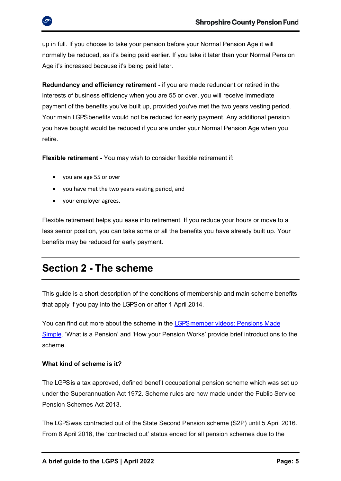up in full. If you choose to take your pension before your Normal Pension Age it will normally be reduced, as it's being paid earlier. If you take it later than your Normal Pension Age it's increased because it's being paid later.

**Redundancy and efficiency retirement -** if you are made redundant or retired in the interests of business efficiency when you are 55 or over, you will receive immediate payment of the benefits you've built up, provided you've met the two years vesting period. Your main LGPS benefits would not be reduced for early payment. Any additional pension you have bought would be reduced if you are under your Normal Pension Age when you retire.

**Flexible retirement -** You may wish to consider flexible retirement if:

- you are age 55 or over
- you have met the two years vesting period, and
- your employer agrees.

Flexible retirement helps you ease into retirement. If you reduce your hours or move to a less senior position, you can take some or all the benefits you have already built up. Your benefits may be reduced for early payment.

## <span id="page-4-0"></span>**Section 2 - The scheme**

This guide is a short description of the conditions of membership and main scheme benefits that apply if you pay into the LGPS on or after 1 April 2014.

You can find out more about the scheme in the LGPS member videos: Pensions Made [Simple.](https://www.lgpsmember.org/more/Videos.php) 'What is a Pension' and 'How your Pension Works' provide brief introductions to the scheme.

### **What kind of scheme is it?**

The LGPS is a tax approved, defined benefit occupational pension scheme which was set up under the Superannuation Act 1972. Scheme rules are now made under the Public Service Pension Schemes Act 2013.

The LGPS was contracted out of the State Second Pension scheme (S2P) until 5 April 2016. From 6 April 2016, the 'contracted out' status ended for all pension schemes due to the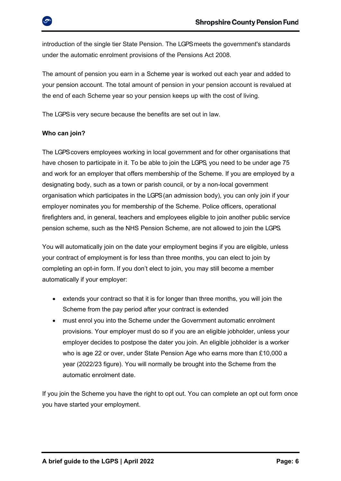introduction of the single tier State Pension. The LGPS meets the government's standards under the automatic enrolment provisions of the Pensions Act 2008.

The amount of pension you earn in a Scheme year is worked out each year and added to your pension account. The total amount of pension in your pension account is revalued at the end of each Scheme year so your pension keeps up with the cost of living.

The LGPS is very secure because the benefits are set out in law.

### <span id="page-5-0"></span>**Who can join?**

The LGPS covers employees working in local government and for other organisations that have chosen to participate in it. To be able to join the LGPS, you need to be under age 75 and work for an employer that offers membership of the Scheme. If you are employed by a designating body, such as a town or parish council, or by a non-local government organisation which participates in the LGPS (an admission body), you can only join if your employer nominates you for membership of the Scheme. Police officers, operational firefighters and, in general, teachers and employees eligible to join another public service pension scheme, such as the NHS Pension Scheme, are not allowed to join the LGPS.

You will automatically join on the date your employment begins if you are eligible, unless your contract of employment is for less than three months, you can elect to join by completing an opt-in form. If you don't elect to join, you may still become a member automatically if your employer:

- extends your contract so that it is for longer than three months, you will join the Scheme from the pay period after your contract is extended
- must enrol you into the Scheme under the Government automatic enrolment provisions. Your employer must do so if you are an eligible jobholder, unless your employer decides to postpose the dater you join. An eligible jobholder is a worker who is age 22 or over, under State Pension Age who earns more than £10,000 a year (2022/23 figure). You will normally be brought into the Scheme from the automatic enrolment date.

If you join the Scheme you have the right to opt out. You can complete an opt out form once you have started your employment.

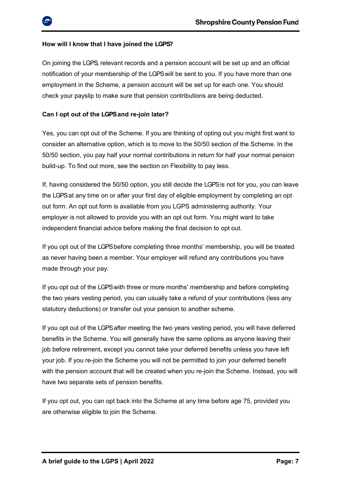### <span id="page-6-0"></span>**How will I know that I have joined the LGPS?**

On joining the LGPS, relevant records and a pension account will be set up and an official notification of your membership of the LGPS will be sent to you. If you have more than one employment in the Scheme, a pension account will be set up for each one. You should check your payslip to make sure that pension contributions are being deducted.

### <span id="page-6-1"></span>Can I opt out of the LGPS and re-join later?

Yes, you can opt out of the Scheme. If you are thinking of opting out you might first want to consider an alternative option, which is to move to the 50/50 section of the Scheme. In the 50/50 section, you pay half your normal contributions in return for half your normal pension build-up. To find out more, see the section on Flexibility to pay less.

If, having considered the 50/50 option, you still decide the LGPS is not for you, you can leave the LGPS at any time on or after your first day of eligible employment by completing an opt out form. An opt out form is available from you LGPS administering authority. Your employer is not allowed to provide you with an opt out form. You might want to take independent financial advice before making the final decision to opt out.

If you opt out of the LGPS before completing three months' membership, you will be treated as never having been a member. Your employer will refund any contributions you have made through your pay.

If you opt out of the LGPS with three or more months' membership and before completing the two years vesting period, you can usually take a refund of your contributions (less any statutory deductions) or transfer out your pension to another scheme.

If you opt out of the LGPS after meeting the two years vesting period, you will have deferred benefits in the Scheme. You will generally have the same options as anyone leaving their job before retirement, except you cannot take your deferred benefits unless you have left your job. If you re-join the Scheme you will not be permitted to join your deferred benefit with the pension account that will be created when you re-join the Scheme. Instead, you will have two separate sets of pension benefits.

If you opt out, you can opt back into the Scheme at any time before age 75, provided you are otherwise eligible to join the Scheme.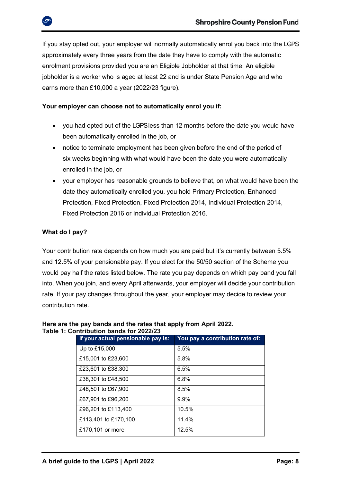If you stay opted out, your employer will normally automatically enrol you back into the LGPS approximately every three years from the date they have to comply with the automatic enrolment provisions provided you are an Eligible Jobholder at that time. An eligible jobholder is a worker who is aged at least 22 and is under State Pension Age and who earns more than £10,000 a year (2022/23 figure).

### **Your employer can choose not to automatically enrol you if:**

- you had opted out of the LGPS less than 12 months before the date you would have been automatically enrolled in the job, or
- notice to terminate employment has been given before the end of the period of six weeks beginning with what would have been the date you were automatically enrolled in the job, or
- your employer has reasonable grounds to believe that, on what would have been the date they automatically enrolled you, you hold Primary Protection, Enhanced Protection, Fixed Protection, Fixed Protection 2014, Individual Protection 2014, Fixed Protection 2016 or Individual Protection 2016.

### <span id="page-7-0"></span>**What do I pay?**

Your contribution rate depends on how much you are paid but it's currently between 5.5% and 12.5% of your pensionable pay. If you elect for the 50/50 section of the Scheme you would pay half the rates listed below. The rate you pay depends on which pay band you fall into. When you join, and every April afterwards, your employer will decide your contribution rate. If your pay changes throughout the year, your employer may decide to review your contribution rate.

| JUIIIIIDULIUII DAIIUS IUI <i>L</i> UZZIZJ |                                    |                                 |  |  |  |  |
|-------------------------------------------|------------------------------------|---------------------------------|--|--|--|--|
|                                           | If your actual pensionable pay is: | You pay a contribution rate of: |  |  |  |  |
|                                           | Up to £15,000                      | 5.5%                            |  |  |  |  |
|                                           | £15,001 to £23,600                 | 5.8%                            |  |  |  |  |
|                                           | £23,601 to £38,300                 | 6.5%                            |  |  |  |  |
|                                           | £38,301 to £48,500                 | 6.8%                            |  |  |  |  |
|                                           | £48,501 to £67,900                 | 8.5%                            |  |  |  |  |
|                                           | £67,901 to £96,200                 | 9.9%                            |  |  |  |  |
|                                           | £96,201 to £113,400                | 10.5%                           |  |  |  |  |
|                                           | £113,401 to £170,100               | 11.4%                           |  |  |  |  |
|                                           | £170,101 or more                   | 12.5%                           |  |  |  |  |

### **Here are the pay bands and the rates that apply from April 2022. Table 1: Contribution bands for 2022/23**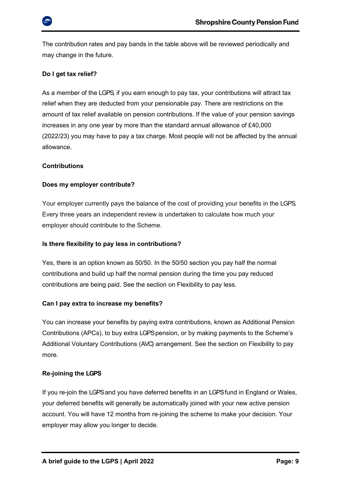

The contribution rates and pay bands in the table above will be reviewed periodically and may change in the future.

### <span id="page-8-0"></span>**Do I get tax relief?**

As a member of the LGPS, if you earn enough to pay tax, your contributions will attract tax relief when they are deducted from your pensionable pay. There are restrictions on the amount of tax relief available on pension contributions. If the value of your pension savings increases in any one year by more than the standard annual allowance of £40,000 (2022/23) you may have to pay a tax charge. Most people will not be affected by the annual allowance.

### <span id="page-8-1"></span>**Contributions**

### <span id="page-8-2"></span>**Does my employer contribute?**

Your employer currently pays the balance of the cost of providing your benefits in the LGPS. Every three years an independent review is undertaken to calculate how much your employer should contribute to the Scheme.

### <span id="page-8-3"></span>**Is there flexibility to pay less in contributions?**

Yes, there is an option known as 50/50. In the 50/50 section you pay half the normal contributions and build up half the normal pension during the time you pay reduced contributions are being paid. See the section on Flexibility to pay less.

### <span id="page-8-4"></span>**Can I pay extra to increase my benefits?**

You can increase your benefits by paying extra contributions, known as Additional Pension Contributions (APCs), to buy extra LGPS pension, or by making payments to the Scheme's Additional Voluntary Contributions (AVC) arrangement. See the section on Flexibility to pay more.

### <span id="page-8-5"></span>**Re-joining the LGPS**

If you re-join the LGPS and you have deferred benefits in an LGPS fund in England or Wales, your deferred benefits will generally be automatically joined with your new active pension account. You will have 12 months from re-joining the scheme to make your decision. Your employer may allow you longer to decide.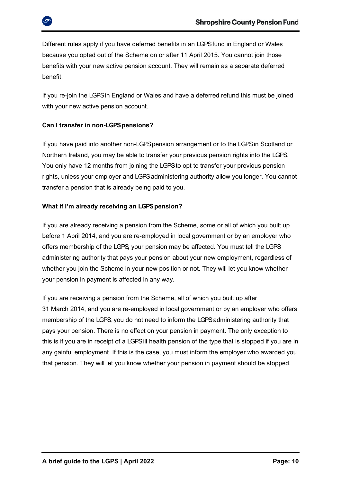Different rules apply if you have deferred benefits in an LGPS fund in England or Wales because you opted out of the Scheme on or after 11 April 2015. You cannot join those benefits with your new active pension account. They will remain as a separate deferred benefit.

If you re-join the LGPS in England or Wales and have a deferred refund this must be joined with your new active pension account.

### <span id="page-9-0"></span>**Can I transfer in non-LGPS pensions?**

If you have paid into another non-LGPS pension arrangement or to the LGPS in Scotland or Northern Ireland, you may be able to transfer your previous pension rights into the LGPS. You only have 12 months from joining the LGPS to opt to transfer your previous pension rights, unless your employer and LGPS administering authority allow you longer. You cannot transfer a pension that is already being paid to you.

### <span id="page-9-1"></span>**What if I'm already receiving an LGPS pension?**

If you are already receiving a pension from the Scheme, some or all of which you built up before 1 April 2014, and you are re-employed in local government or by an employer who offers membership of the LGPS, your pension may be affected. You must tell the LGPS administering authority that pays your pension about your new employment, regardless of whether you join the Scheme in your new position or not. They will let you know whether your pension in payment is affected in any way.

If you are receiving a pension from the Scheme, all of which you built up after 31 March 2014, and you are re-employed in local government or by an employer who offers membership of the LGPS, you do not need to inform the LGPS administering authority that pays your pension. There is no effect on your pension in payment. The only exception to this is if you are in receipt of a LGPS ill health pension of the type that is stopped if you are in any gainful employment. If this is the case, you must inform the employer who awarded you that pension. They will let you know whether your pension in payment should be stopped.

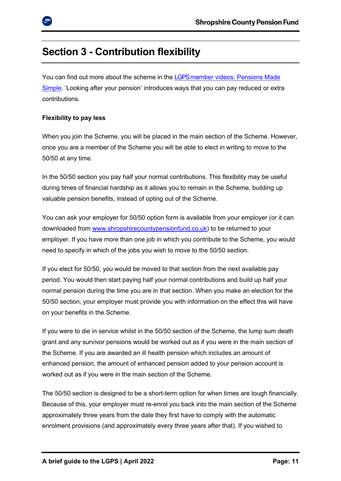### <span id="page-10-0"></span>**Section 3 - Contribution flexibility**

You can find out more about the scheme in the LGPS member videos: Pensions Made [Simple](https://www.lgpsmember.org/more/Videos.php). 'Looking after your pension' introduces ways that you can pay reduced or extra contributions.

### <span id="page-10-1"></span>**Flexibility to pay less**

When you join the Scheme, you will be placed in the main section of the Scheme. However, once you are a member of the Scheme you will be able to elect in writing to move to the 50/50 at any time.

In the 50/50 section you pay half your normal contributions. This flexibility may be useful during times of financial hardship as it allows you to remain in the Scheme, building up valuable pension benefits, instead of opting out of the Scheme.

You can ask your employer for 50/50 option form is available from your employer (or it can downloaded from [www.shropshirecountypensionfund.co.uk\)](file://///sw12ssfs03/shrops/Finance/Pensions/Communications%20(live%20data)/Forms%20and%20Guidance%20Library/Current%20Scheme%20Guidance/Drafts%20for%20Editing/www.shropshirecountypensionfund.co.uk) to be returned to your employer. If you have more than one job in which you contribute to the Scheme, you would need to specify in which of the jobs you wish to move to the 50/50 section.

If you elect for 50/50, you would be moved to that section from the next available pay period. You would then start paying half your normal contributions and build up half your normal pension during the time you are in that section. When you make an election for the 50/50 section, your employer must provide you with information on the effect this will have on your benefits in the Scheme.

If you were to die in service whilst in the 50/50 section of the Scheme, the lump sum death grant and any survivor pensions would be worked out as if you were in the main section of the Scheme. If you are awarded an ill health pension which includes an amount of enhanced pension, the amount of enhanced pension added to your pension account is worked out as if you were in the main section of the Scheme.

The 50/50 section is designed to be a short-term option for when times are tough financially. Because of this, your employer must re-enrol you back into the main section of the Scheme approximately three years from the date they first have to comply with the automatic enrolment provisions (and approximately every three years after that). If you wished to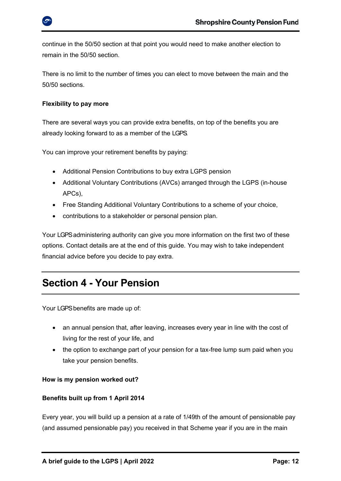

continue in the 50/50 section at that point you would need to make another election to remain in the 50/50 section.

There is no limit to the number of times you can elect to move between the main and the 50/50 sections.

### <span id="page-11-0"></span>**Flexibility to pay more**

There are several ways you can provide extra benefits, on top of the benefits you are already looking forward to as a member of the LGPS.

You can improve your retirement benefits by paying:

- Additional Pension Contributions to buy extra LGPS pension
- Additional Voluntary Contributions (AVCs) arranged through the LGPS (in-house APCs),
- Free Standing Additional Voluntary Contributions to a scheme of your choice,
- contributions to a stakeholder or personal pension plan.

Your LGPS administering authority can give you more information on the first two of these options. Contact details are at the end of this guide. You may wish to take independent financial advice before you decide to pay extra.

### <span id="page-11-1"></span>**Section 4 - Your Pension**

Your LGPS benefits are made up of:

- an annual pension that, after leaving, increases every year in line with the cost of living for the rest of your life, and
- the option to exchange part of your pension for a tax-free lump sum paid when you take your pension benefits.

### <span id="page-11-2"></span>**How is my pension worked out?**

### **Benefits built up from 1 April 2014**

Every year, you will build up a pension at a rate of 1/49th of the amount of pensionable pay (and assumed pensionable pay) you received in that Scheme year if you are in the main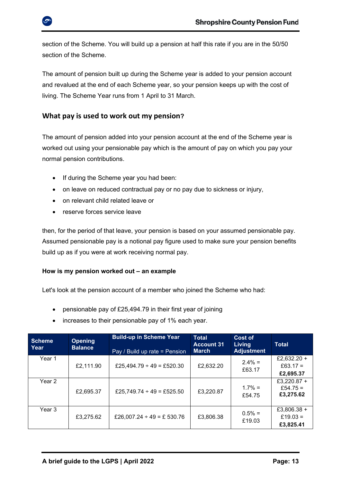section of the Scheme. You will build up a pension at half this rate if you are in the 50/50 section of the Scheme.

The amount of pension built up during the Scheme year is added to your pension account and revalued at the end of each Scheme year, so your pension keeps up with the cost of living. The Scheme Year runs from 1 April to 31 March.

### <span id="page-12-0"></span>**What pay is used to work out my pension?**

The amount of pension added into your pension account at the end of the Scheme year is worked out using your pensionable pay which is the amount of pay on which you pay your normal pension contributions.

- If during the Scheme year you had been:
- on leave on reduced contractual pay or no pay due to sickness or injury,
- on relevant child related leave or
- reserve forces service leave

then, for the period of that leave, your pension is based on your assumed pensionable pay. Assumed pensionable pay is a notional pay figure used to make sure your pension benefits build up as if you were at work receiving normal pay.

### <span id="page-12-1"></span>**How is my pension worked out – an example**

Let's look at the pension account of a member who joined the Scheme who had:

- pensionable pay of £25,494.79 in their first year of joining
- increases to their pensionable pay of 1% each year.

| <b>Scheme</b><br>Year | <b>Opening</b><br><b>Balance</b> | <b>Build-up in Scheme Year</b><br>Pay / Build up rate = Pension | <b>Total</b><br><b>Account 31</b><br><b>March</b> | Cost of<br><b>Living</b><br><b>Adjustment</b> | <b>Total</b>                         |
|-----------------------|----------------------------------|-----------------------------------------------------------------|---------------------------------------------------|-----------------------------------------------|--------------------------------------|
| Year 1                | £2,111.90                        | £25,494.79 ÷ 49 = £520.30                                       | £2,632.20                                         | $2.4\% =$<br>£63.17                           | £2.632.20 +<br>£63.17 =<br>£2,695.37 |
| Year 2                | £2,695.37                        | £25,749.74 ÷ 49 = £525.50                                       | £3,220.87                                         | $1.7\% =$<br>£54.75                           | £3,220.87 +<br>£54.75 =<br>£3,275.62 |
| Year 3                | £3,275.62                        | £26,007.24 ÷ 49 = £ 530.76                                      | £3,806.38                                         | $0.5\% =$<br>£19.03                           | £3,806.38 +<br>£19.03 =<br>£3,825.41 |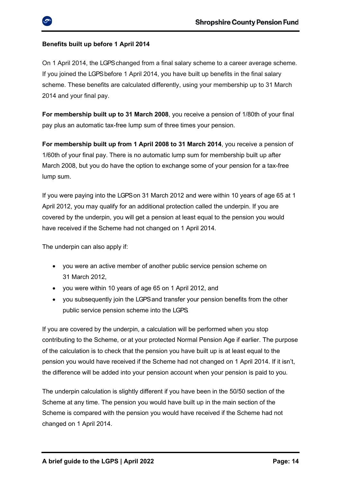### **Benefits built up before 1 April 2014**

On 1 April 2014, the LGPS changed from a final salary scheme to a career average scheme. If you joined the LGPS before 1 April 2014, you have built up benefits in the final salary scheme. These benefits are calculated differently, using your membership up to 31 March 2014 and your final pay.

**For membership built up to 31 March 2008**, you receive a pension of 1/80th of your final pay plus an automatic tax-free lump sum of three times your pension.

**For membership built up from 1 April 2008 to 31 March 2014**, you receive a pension of 1/60th of your final pay. There is no automatic lump sum for membership built up after March 2008, but you do have the option to exchange some of your pension for a tax-free lump sum.

If you were paying into the LGPS on 31 March 2012 and were within 10 years of age 65 at 1 April 2012, you may qualify for an additional protection called the underpin. If you are covered by the underpin, you will get a pension at least equal to the pension you would have received if the Scheme had not changed on 1 April 2014.

The underpin can also apply if:

- you were an active member of another public service pension scheme on 31 March 2012,
- you were within 10 years of age 65 on 1 April 2012, and
- you subsequently join the LGPS and transfer your pension benefits from the other public service pension scheme into the LGPS.

If you are covered by the underpin, a calculation will be performed when you stop contributing to the Scheme, or at your protected Normal Pension Age if earlier. The purpose of the calculation is to check that the pension you have built up is at least equal to the pension you would have received if the Scheme had not changed on 1 April 2014. If it isn't, the difference will be added into your pension account when your pension is paid to you.

The underpin calculation is slightly different if you have been in the 50/50 section of the Scheme at any time. The pension you would have built up in the main section of the Scheme is compared with the pension you would have received if the Scheme had not changed on 1 April 2014.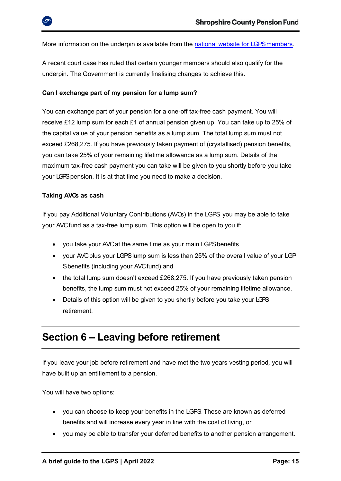More information on the underpin is available from the national website for LGPS members.

A recent court case has ruled that certain younger members should also qualify for the underpin. The Government is currently finalising changes to achieve this.

#### <span id="page-14-0"></span>**Can I exchange part of my pension for a lump sum?**

You can exchange part of your pension for a one-off tax-free cash payment. You will receive £12 lump sum for each £1 of annual pension given up. You can take up to 25% of the capital value of your pension benefits as a lump sum. The total lump sum must not exceed £268,275. If you have previously taken payment of (crystallised) pension benefits, you can take 25% of your remaining lifetime allowance as a lump sum. Details of the maximum tax-free cash payment you can take will be given to you shortly before you take your LGPSpension. It is at that time you need to make a decision.

#### <span id="page-14-1"></span>**Taking A VCs as cash**

If you pay Additional Voluntary Contributions (AVCs) in the LGPS, you may be able to take your AVC fund as a tax-free lump sum. This option will be open to you if:

- you take your AVC at the same time as your main LGPS benefits
- your AVC plus your LGPS lump sum is less than 25% of the overall value of your LGP Sbenefits (including your AVC fund) and
- the total lump sum doesn't exceed £268,275. If you have previously taken pension benefits, the lump sum must not exceed 25% of your remaining lifetime allowance.
- Details of this option will be given to you shortly before you take your LGPS retirement.

### <span id="page-14-2"></span>**Section 6 – Leaving before retirement**

If you leave your job before retirement and have met the two years vesting period*,* you will have built up an entitlement to a pension.

You will have two options:

- you can choose to keep your benefits in the LGPS. These are known as deferred benefits and will increase every year in line with the cost of living, or
- you may be able to transfer your deferred benefits to another pension arrangement.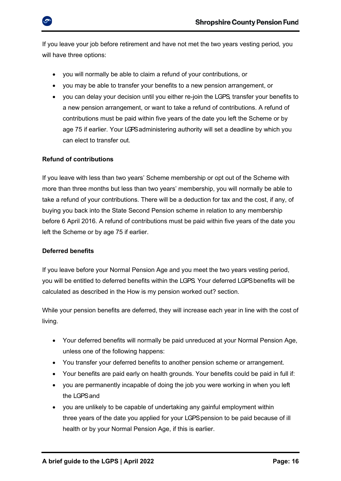

If you leave your job before retirement and have not met the two years vesting period*,* you will have three options:

- you will normally be able to claim a refund of your contributions, or
- you may be able to transfer your benefits to a new pension arrangement, or
- <span id="page-15-0"></span>• you can delay your decision until you either re-join the LGPS, transfer your benefits to a new pension arrangement, or want to take a refund of contributions. A refund of contributions must be paid within five years of the date you left the Scheme or by age 75 if earlier. Your LGPSadministering authority will set a deadline by which you can elect to transfer out.

### **Refund of contributions**

If you leave with less than two years' Scheme membership or opt out of the Scheme with more than three months but less than two years' membership, you will normally be able to take a refund of your contributions. There will be a deduction for tax and the cost, if any, of buying you back into the State Second Pension scheme in relation to any membership before 6 April 2016. A refund of contributions must be paid within five years of the date you left the Scheme or by age 75 if earlier.

### <span id="page-15-1"></span>**Deferred benefits**

If you leave before your Normal Pension Age and you meet the two years vesting period, you will be entitled to deferred benefits within the LGPS. Your deferred LGPS benefits will be calculated as described in the How is my pension worked out? section.

While your pension benefits are deferred, they will increase each year in line with the cost of living.

- Your deferred benefits will normally be paid unreduced at your Normal Pension Age, unless one of the following happens:
- You transfer your deferred benefits to another pension scheme or arrangement.
- Your benefits are paid early on health grounds. Your benefits could be paid in full if:
- you are permanently incapable of doing the job you were working in when you left the LGPS and
- you are unlikely to be capable of undertaking any gainful employment within three years of the date you applied for your LGPS pension to be paid because of ill health or by your Normal Pension Age, if this is earlier.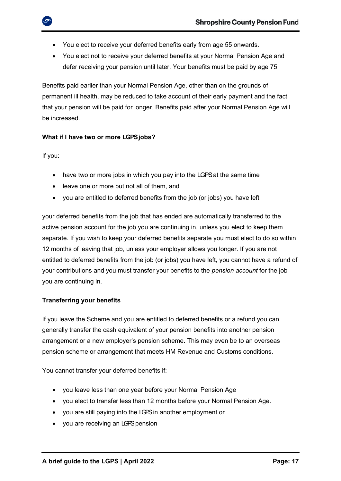- You elect to receive your deferred benefits early from age 55 onwards.
- You elect not to receive your deferred benefits at your Normal Pension Age and defer receiving your pension until later. Your benefits must be paid by age 75.

Benefits paid earlier than your Normal Pension Age, other than on the grounds of permanent ill health, may be reduced to take account of their early payment and the fact that your pension will be paid for longer. Benefits paid after your Normal Pension Age will be increased.

### <span id="page-16-0"></span>**What if I have two or more LGPS jobs?**

If you:

- have two or more jobs in which you pay into the LGPS at the same time
- leave one or more but not all of them, and
- you are entitled to deferred benefits from the job (or jobs) you have left

your deferred benefits from the job that has ended are automatically transferred to the active pension account for the job you are continuing in, unless you elect to keep them separate. If you wish to keep your deferred benefits separate you must elect to do so within 12 months of leaving that job, unless your employer allows you longer. If you are not entitled to deferred benefits from the job (or jobs) you have left, you cannot have a refund of your contributions and you must transfer your benefits to the *pension account* for the job you are continuing in.

### <span id="page-16-1"></span>**Transferring your benefits**

If you leave the Scheme and you are entitled to deferred benefits or a refund you can generally transfer the cash equivalent of your pension benefits into another pension arrangement or a new employer's pension scheme. This may even be to an overseas pension scheme or arrangement that meets HM Revenue and Customs conditions.

You cannot transfer your deferred benefits if:

- you leave less than one year before your Normal Pension Age
- you elect to transfer less than 12 months before your Normal Pension Age.
- you are still paying into the LGPSin another employment or
- you are receiving an LGPS pension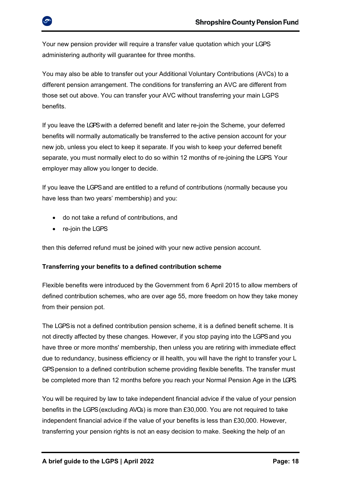

Your new pension provider will require a transfer value quotation which your LGPS administering authority will guarantee for three months.

You may also be able to transfer out your Additional Voluntary Contributions (AVCs) to a different pension arrangement. The conditions for transferring an AVC are different from those set out above. You can transfer your AVC without transferring your main LGPS benefits.

If you leave the LGPSwith a deferred benefit and later re-join the Scheme, your deferred benefits will normally automatically be transferred to the active pension account for your new job, unless you elect to keep it separate. If you wish to keep your deferred benefit separate, you must normally elect to do so within 12 months of re-joining the LGPS. Your employer may allow you longer to decide.

If you leave the LGPS and are entitled to a refund of contributions (normally because you have less than two years' membership) and you:

- do not take a refund of contributions, and
- re-join the LGPS

then this deferred refund must be joined with your new active pension account.

### <span id="page-17-0"></span>**Transferring your benefits to a defined contribution scheme**

Flexible benefits were introduced by the Government from 6 April 2015 to allow members of defined contribution schemes, who are over age 55, more freedom on how they take money from their pension pot.

The LGPS is not a defined contribution pension scheme, it is a defined benefit scheme. It is not directly affected by these changes. However, if you stop paying into the LGPS and you have three or more months' membership, then unless you are retiring with immediate effect due to redundancy, business efficiency or ill health, you will have the right to transfer your L GPS pension to a defined contribution scheme providing flexible benefits. The transfer must be completed more than 12 months before you reach your Normal Pension Age in the LGPS.

You will be required by law to take independent financial advice if the value of your pension benefits in the LGPS (excluding AVCs) is more than £30,000. You are not required to take independent financial advice if the value of your benefits is less than £30,000. However, transferring your pension rights is not an easy decision to make. Seeking the help of an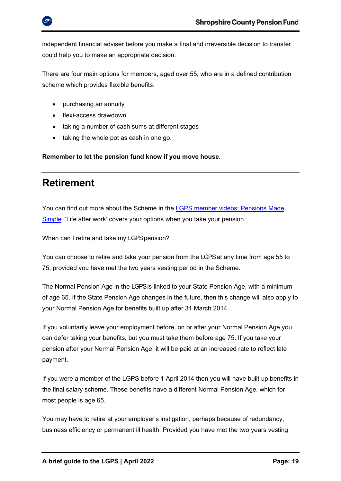independent financial adviser before you make a final and irreversible decision to transfer could help you to make an appropriate decision.

There are four main options for members, aged over 55, who are in a defined contribution scheme which provides flexible benefits:

- purchasing an annuity
- flexi-access drawdown
- taking a number of cash sums at different stages
- taking the whole pot as cash in one go.

**Remember to let the pension fund know if you move house.**

### <span id="page-18-0"></span>**Retirement**

You can find out more about the Scheme in the LGPS member videos: Pensions Made [Simple.](https://www.lgpsmember.org/more/Videos.php) 'Life after work' covers your options when you take your pension.

<span id="page-18-1"></span>When can I retire and take my LGPS pension?

You can choose to retire and take your pension from the LGPSat any time from age 55 to 75, provided you have met the two years vesting period in the Scheme.

The Normal Pension Age in the LGPSis linked to your State Pension Age, with a minimum of age 65. If the State Pension Age changes in the future, then this change will also apply to your Normal Pension Age for benefits built up after 31 March 2014.

If you voluntarily leave your employment before, on or after your Normal Pension Age you can defer taking your benefits, but you must take them before age 75. If you take your pension after your Normal Pension Age, it will be paid at an increased rate to reflect late payment.

If you were a member of the LGPS before 1 April 2014 then you will have built up benefits in the final salary scheme. These benefits have a different Normal Pension Age, which for most people is age 65.

You may have to retire at your employer's instigation, perhaps because of redundancy, business efficiency or permanent ill health. Provided you have met the two years vesting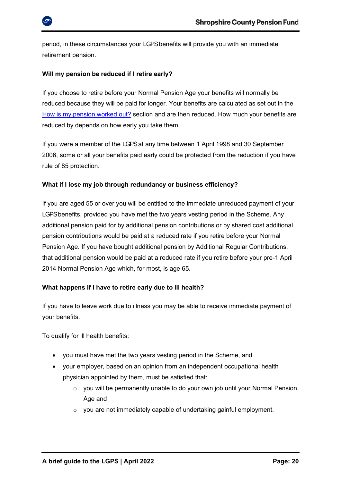

period, in these circumstances your LGPSbenefits will provide you with an immediate retirement pension.

### <span id="page-19-0"></span>**Will my pension be reduced if I retire early?**

If you choose to retire before your Normal Pension Age your benefits will normally be reduced because they will be paid for longer. Your benefits are calculated as set out in the [How is my pension worked out?](file:///C:/Users/sctmp2007/Downloads/EEBv2.2t.docx%23_How_is_my) section and are then reduced. How much your benefits are reduced by depends on how early you take them.

If you were a member of the LGPSat any time between 1 April 1998 and 30 September 2006, some or all your benefits paid early could be protected from the reduction if you have rule of 85 protection.

### <span id="page-19-1"></span>**What if I lose my job through redundancy or business efficiency?**

If you are aged 55 or over you will be entitled to the immediate unreduced payment of your LGPSbenefits, provided you have met the two years vesting period in the Scheme. Any additional pension paid for by additional pension contributions or by shared cost additional pension contributions would be paid at a reduced rate if you retire before your Normal Pension Age. If you have bought additional pension by Additional Regular Contributions, that additional pension would be paid at a reduced rate if you retire before your pre-1 April 2014 Normal Pension Age which, for most, is age 65.

### <span id="page-19-2"></span>**What happens if I have to retire early due to ill health?**

If you have to leave work due to illness you may be able to receive immediate payment of your benefits.

To qualify for ill health benefits:

- you must have met the two years vesting period in the Scheme, and
- your employer, based on an opinion from an independent occupational health physician appointed by them, must be satisfied that:
	- $\circ$  you will be permanently unable to do your own job until your Normal Pension Age and
	- $\circ$  you are not immediately capable of undertaking gainful employment.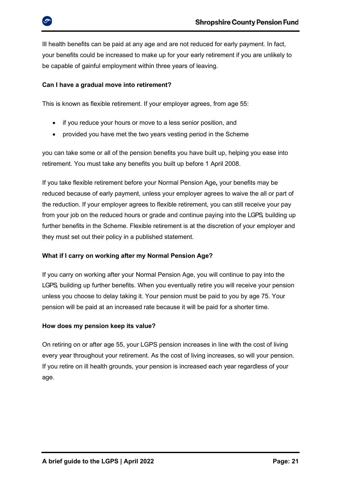Ill health benefits can be paid at any age and are not reduced for early payment. In fact, your benefits could be increased to make up for your early retirement if you are unlikely to be capable of gainful employment within three years of leaving.

### <span id="page-20-0"></span>**Can I have a gradual move into retirement?**

This is known as flexible retirement. If your employer agrees, from age 55:

- if you reduce your hours or move to a less senior position, and
- provided you have met the two years vesting period in the Scheme

you can take some or all of the pension benefits you have built up, helping you ease into retirement. You must take any benefits you built up before 1 April 2008.

If you take flexible retirement before your Normal Pension Age*,* your benefits may be reduced because of early payment, unless your employer agrees to waive the all or part of the reduction. If your employer agrees to flexible retirement, you can still receive your pay from your job on the reduced hours or grade and continue paying into the LGPS, building up further benefits in the Scheme. Flexible retirement is at the discretion of your employer and they must set out their policy in a published statement*.*

### <span id="page-20-1"></span>**What if I carry on working after my Normal Pension Age?**

If you carry on working after your Normal Pension Age, you will continue to pay into the LGPS, building up further benefits. When you eventually retire you will receive your pension unless you choose to delay taking it. Your pension must be paid to you by age 75. Your pension will be paid at an increased rate because it will be paid for a shorter time.

### <span id="page-20-2"></span>**How does my pension keep its value?**

On retiring on or after age 55, your LGPS pension increases in line with the cost of living every year throughout your retirement. As the cost of living increases, so will your pension. If you retire on ill health grounds, your pension is increased each year regardless of your age.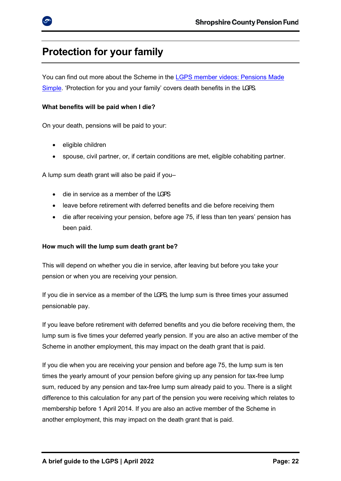### <span id="page-21-0"></span>**Protection for your family**

You can find out more about the Scheme in the LGPS member videos: Pensions Made [Simple](https://www.lgpsmember.org/more/Videos.php). 'Protection for you and your family' covers death benefits in the LGPS.

### <span id="page-21-1"></span>**What benefits will be paid when I die?**

On your death, pensions will be paid to your:

- eligible children
- spouse, civil partner, or, if certain conditions are met, eligible cohabiting partner.

A lump sum death grant will also be paid if you–

- die in service as a member of the LGPS
- leave before retirement with deferred benefits and die before receiving them
- die after receiving your pension, before age 75, if less than ten years' pension has been paid.

### <span id="page-21-2"></span>**How much will the lump sum death grant be?**

This will depend on whether you die in service, after leaving but before you take your pension or when you are receiving your pension.

If you die in service as a member of the LGPS, the lump sum is three times your assumed pensionable pay.

If you leave before retirement with deferred benefits and you die before receiving them, the lump sum is five times your deferred yearly pension. If you are also an active member of the Scheme in another employment, this may impact on the death grant that is paid.

If you die when you are receiving your pension and before age 75, the lump sum is ten times the yearly amount of your pension before giving up any pension for tax-free lump sum, reduced by any pension and tax-free lump sum already paid to you. There is a slight difference to this calculation for any part of the pension you were receiving which relates to membership before 1 April 2014. If you are also an active member of the Scheme in another employment, this may impact on the death grant that is paid.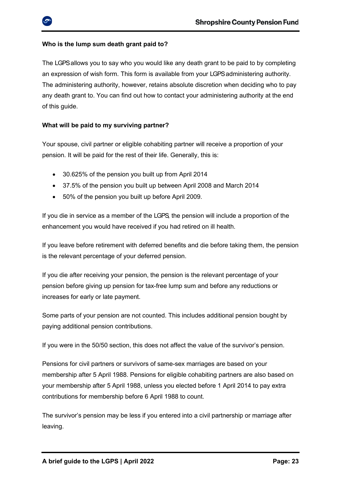### <span id="page-22-0"></span>**Who is the lump sum death grant paid to?**

The LGPSallows you to say who you would like any death grant to be paid to by completing an expression of wish form. This form is available from your LGPSadministering authority. The administering authority, however, retains absolute discretion when deciding who to pay any death grant to. You can find out how to contact your administering authority at the end of this guide.

### <span id="page-22-1"></span>**What will be paid to my surviving partner?**

Your spouse, civil partner or eligible cohabiting partner will receive a proportion of your pension. It will be paid for the rest of their life. Generally, this is:

- 30.625% of the pension you built up from April 2014
- 37.5% of the pension you built up between April 2008 and March 2014
- 50% of the pension you built up before April 2009.

If you die in service as a member of the LGPS, the pension will include a proportion of the enhancement you would have received if you had retired on ill health.

If you leave before retirement with deferred benefits and die before taking them, the pension is the relevant percentage of your deferred pension.

If you die after receiving your pension, the pension is the relevant percentage of your pension before giving up pension for tax-free lump sum and before any reductions or increases for early or late payment.

Some parts of your pension are not counted. This includes additional pension bought by paying additional pension contributions.

If you were in the 50/50 section, this does not affect the value of the survivor's pension.

Pensions for civil partners or survivors of same-sex marriages are based on your membership after 5 April 1988. Pensions for eligible cohabiting partners are also based on your membership after 5 April 1988, unless you elected before 1 April 2014 to pay extra contributions for membership before 6 April 1988 to count.

The survivor's pension may be less if you entered into a civil partnership or marriage after leaving.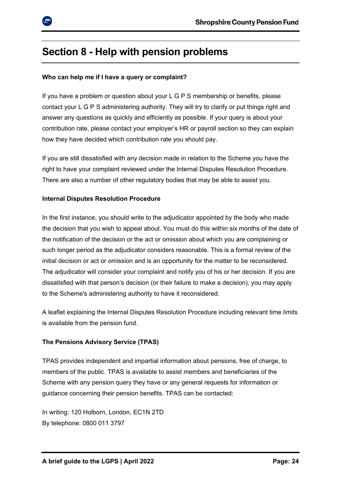

### <span id="page-23-0"></span>**Section 8 - Help with pension problems**

### <span id="page-23-1"></span>**Who can help me if I have a query or complaint?**

If you have a problem or question about your L G P S membership or benefits, please contact your L G P S administering authority. They will try to clarify or put things right and answer any questions as quickly and efficiently as possible. If your query is about your contribution rate, please contact your employer's HR or payroll section so they can explain how they have decided which contribution rate you should pay.

If you are still dissatisfied with any decision made in relation to the Scheme you have the right to have your complaint reviewed under the Internal Disputes Resolution Procedure. There are also a number of other regulatory bodies that may be able to assist you.

### <span id="page-23-2"></span>**Internal Disputes Resolution Procedure**

In the first instance, you should write to the adjudicator appointed by the body who made the decision that you wish to appeal about. You must do this within six months of the date of the notification of the decision or the act or omission about which you are complaining or such longer period as the adjudicator considers reasonable. This is a formal review of the initial decision or act or omission and is an opportunity for the matter to be reconsidered. The adjudicator will consider your complaint and notify you of his or her decision. If you are dissatisfied with that person's decision (or their failure to make a decision), you may apply to the Scheme's administering authority to have it reconsidered.

A leaflet explaining the Internal Disputes Resolution Procedure including relevant time limits is available from the pension fund.

### <span id="page-23-3"></span>**The Pensions Advisory Service (TPAS)**

TPAS provides independent and impartial information about pensions, free of charge, to members of the public. TPAS is available to assist members and beneficiaries of the Scheme with any pension query they have or any general requests for information or guidance concerning their pension benefits. TPAS can be contacted:

In writing: 120 Holborn, London, EC1N 2TD By telephone: 0800 011 3797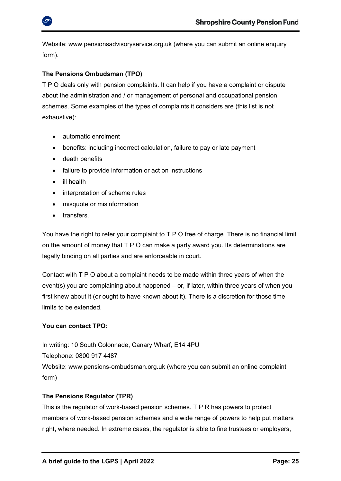

Website: [www.pensionsadvisoryservice.org.uk](http://www.pensionsadvisoryservice.org.uk/) (where you can submit an online enquiry form).

### <span id="page-24-0"></span>**The Pensions Ombudsman (TPO)**

T P O deals only with pension complaints. It can help if you have a complaint or dispute about the administration and / or management of personal and occupational pension schemes. Some examples of the types of complaints it considers are (this list is not exhaustive):

- automatic enrolment
- benefits: including incorrect calculation, failure to pay or late payment
- death benefits
- failure to provide information or act on instructions
- ill health
- interpretation of scheme rules
- misquote or misinformation
- transfers.

You have the right to refer your complaint to T P O free of charge. There is no financial limit on the amount of money that T P O can make a party award you. Its determinations are legally binding on all parties and are enforceable in court.

Contact with T P O about a complaint needs to be made within three years of when the event(s) you are complaining about happened – or, if later, within three years of when you first knew about it (or ought to have known about it). There is a discretion for those time limits to be extended.

### **You can contact TPO:**

In writing: 10 South Colonnade, Canary Wharf, E14 4PU Telephone: 0800 917 4487 Website: [www.pensions-ombudsman.org.uk](http://www.pensions-ombudsman.org.uk/) (where you can submit an online complaint form)

### <span id="page-24-1"></span>**The Pensions Regulator (TPR)**

This is the regulator of work-based pension schemes. T P R has powers to protect members of work-based pension schemes and a wide range of powers to help put matters right, where needed. In extreme cases, the regulator is able to fine trustees or employers,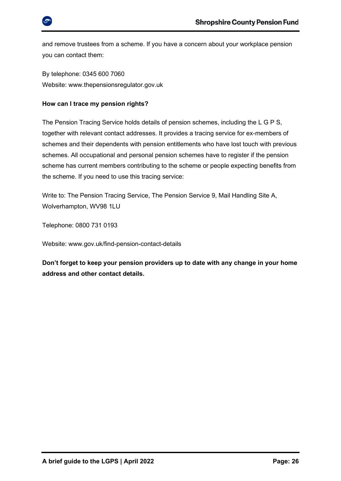

and remove trustees from a scheme. If you have a concern about your workplace pension you can contact them:

By telephone: 0345 600 7060 Website: [www.thepensionsregulator.gov.uk](http://www.thepensionsregulator.gov.uk/)

### <span id="page-25-0"></span>**How can I trace my pension rights?**

The Pension Tracing Service holds details of pension schemes, including the L G P S, together with relevant contact addresses. It provides a tracing service for ex-members of schemes and their dependents with pension entitlements who have lost touch with previous schemes. All occupational and personal pension schemes have to register if the pension scheme has current members contributing to the scheme or people expecting benefits from the scheme. If you need to use this tracing service:

Write to: The Pension Tracing Service, The Pension Service 9, Mail Handling Site A, Wolverhampton, WV98 1LU

Telephone: 0800 731 0193

Website: [www.gov.uk/find-pension-contact-details](http://www.gov.uk/find-pension-contact-details)

**Don't forget to keep your pension providers up to date with any change in your home address and other contact details.**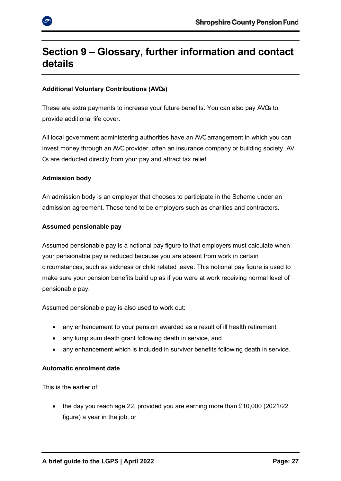

### <span id="page-26-0"></span>**Section 9 – Glossary, further information and contact details**

### **Additional Voluntary Contributions (AVCs)**

These are extra payments to increase your future benefits. You can also pay AVCs to provide additional life cover.

All local government administering authorities have an AVC arrangement in which you can invest money through an AVC provider, often an insurance company or building society. AV Cs are deducted directly from your pay and attract tax relief.

### **Admission body**

An admission body is an employer that chooses to participate in the Scheme under an admission agreement. These tend to be employers such as charities and contractors.

### **Assumed pensionable pay**

Assumed pensionable pay is a notional pay figure to that employers must calculate when your pensionable pay is reduced because you are absent from work in certain circumstances, such as sickness or child related leave. This notional pay figure is used to make sure your pension benefits build up as if you were at work receiving normal level of pensionable pay.

Assumed pensionable pay is also used to work out:

- any enhancement to your pension awarded as a result of ill health retirement
- any lump sum death grant following death in service, and
- any enhancement which is included in survivor benefits following death in service.

### **Automatic enrolment date**

This is the earlier of:

• the day you reach age 22, provided you are earning more than  $£10,000$  (2021/22) figure) a year in the job, or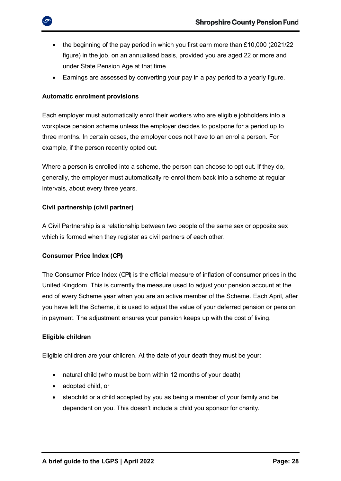- the beginning of the pay period in which you first earn more than £10,000 (2021/22) figure) in the job, on an annualised basis, provided you are aged 22 or more and under State Pension Age at that time.
- Earnings are assessed by converting your pay in a pay period to a yearly figure.

### <span id="page-27-0"></span>**Automatic enrolment provisions**

Each employer must automatically enrol their workers who are eligible jobholders into a workplace pension scheme unless the employer decides to postpone for a period up to three months. In certain cases, the employer does not have to an enrol a person. For example, if the person recently opted out.

Where a person is enrolled into a scheme, the person can choose to opt out. If they do, generally, the employer must automatically re-enrol them back into a scheme at regular intervals, about every three years.

### **Civil partnership (civil partner)**

A Civil Partnership is a relationship between two people of the same sex or opposite sex which is formed when they register as civil partners of each other.

### **Consumer Price Index (CPI)**

The Consumer Price Index (CPI) is the official measure of inflation of consumer prices in the United Kingdom. This is currently the measure used to adjust your pension account at the end of every Scheme year when you are an active member of the Scheme. Each April, after you have left the Scheme, it is used to adjust the value of your deferred pension or pension in payment. The adjustment ensures your pension keeps up with the cost of living.

### **Eligible children**

Eligible children are your children. At the date of your death they must be your:

- natural child (who must be born within 12 months of your death)
- adopted child, or
- stepchild or a child accepted by you as being a member of your family and be dependent on you. This doesn't include a child you sponsor for charity.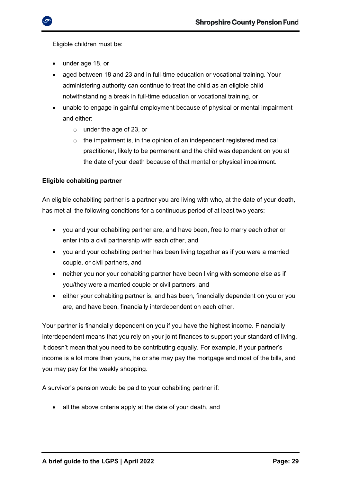Eligible children must be:

- under age 18, or
- aged between 18 and 23 and in full-time education or vocational training. Your administering authority can continue to treat the child as an eligible child notwithstanding a break in full-time education or vocational training, or
- unable to engage in gainful employment because of physical or mental impairment and either:
	- o under the age of 23, or
	- o the impairment is, in the opinion of an independent registered medical practitioner, likely to be permanent and the child was dependent on you at the date of your death because of that mental or physical impairment.

### **Eligible cohabiting partner**

An eligible cohabiting partner is a partner you are living with who, at the date of your death, has met all the following conditions for a continuous period of at least two years:

- you and your cohabiting partner are, and have been, free to marry each other or enter into a civil partnership with each other, and
- you and your cohabiting partner has been living together as if you were a married couple, or civil partners, and
- neither you nor your cohabiting partner have been living with someone else as if you/they were a married couple or civil partners, and
- either your cohabiting partner is, and has been, financially dependent on you or you are, and have been, financially interdependent on each other.

Your partner is financially dependent on you if you have the highest income. Financially interdependent means that you rely on your joint finances to support your standard of living. It doesn't mean that you need to be contributing equally. For example, if your partner's income is a lot more than yours, he or she may pay the mortgage and most of the bills, and you may pay for the weekly shopping.

A survivor's pension would be paid to your cohabiting partner if:

• all the above criteria apply at the date of your death, and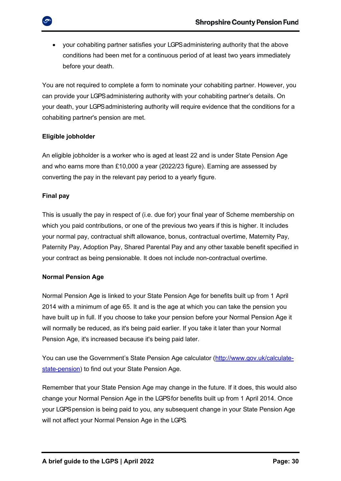• your cohabiting partner satisfies your LGPS administering authority that the above conditions had been met for a continuous period of at least two years immediately before your death.

You are not required to complete a form to nominate your cohabiting partner. However, you can provide your LGPS administering authority with your cohabiting partner's details. On your death, your LGPS administering authority will require evidence that the conditions for a cohabiting partner's pension are met.

### **Eligible jobholder**

An eligible jobholder is a worker who is aged at least 22 and is under State Pension Age and who earns more than £10,000 a year (2022/23 figure). Earning are assessed by converting the pay in the relevant pay period to a yearly figure.

### **Final pay**

This is usually the pay in respect of (i.e. due for) your final year of Scheme membership on which you paid contributions, or one of the previous two years if this is higher. It includes your normal pay, contractual shift allowance, bonus, contractual overtime, Maternity Pay, Paternity Pay, Adoption Pay, Shared Parental Pay and any other taxable benefit specified in your contract as being pensionable. It does not include non-contractual overtime.

### **Normal Pension Age**

Normal Pension Age is linked to your State Pension Age for benefits built up from 1 April 2014 with a minimum of age 65. It and is the age at which you can take the pension you have built up in full. If you choose to take your pension before your Normal Pension Age it will normally be reduced, as it's being paid earlier. If you take it later than your Normal Pension Age, it's increased because it's being paid later.

You can use the Government's State Pension Age calculator ([http://www.gov.uk/calculate](http://www.gov.uk/calculate-state-pension)[state-pension\)](http://www.gov.uk/calculate-state-pension) to find out your State Pension Age.

Remember that your State Pension Age may change in the future. If it does, this would also change your Normal Pension Age in the LGPS for benefits built up from 1 April 2014. Once your LGPS pension is being paid to you, any subsequent change in your State Pension Age will not affect your Normal Pension Age in the LGPS.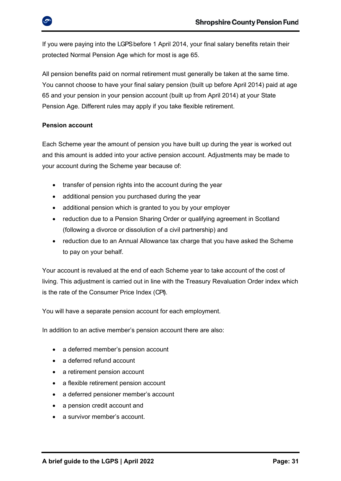

All pension benefits paid on normal retirement must generally be taken at the same time. You cannot choose to have your final salary pension (built up before April 2014) paid at age 65 and your pension in your pension account (built up from April 2014) at your State Pension Age. Different rules may apply if you take flexible retirement.

### **Pension account**

Each Scheme year the amount of pension you have built up during the year is worked out and this amount is added into your active pension account. Adjustments may be made to your account during the Scheme year because of:

- transfer of pension rights into the account during the year
- additional pension you purchased during the year
- additional pension which is granted to you by your employer
- reduction due to a Pension Sharing Order or qualifying agreement in Scotland (following a divorce or dissolution of a civil partnership) and
- reduction due to an Annual Allowance tax charge that you have asked the Scheme to pay on your behalf.

Your account is revalued at the end of each Scheme year to take account of the cost of living. This adjustment is carried out in line with the Treasury Revaluation Order index which is the rate of the Consumer Price Index (CPI).

You will have a separate pension account for each employment.

In addition to an active member's pension account there are also:

- a deferred member's pension account
- a deferred refund account
- a retirement pension account
- a flexible retirement pension account
- a deferred pensioner member's account
- a pension credit account and
- a survivor member's account.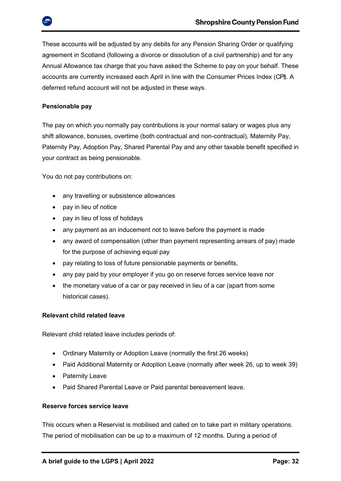These accounts will be adjusted by any debits for any Pension Sharing Order or qualifying agreement in Scotland (following a divorce or dissolution of a civil partnership) and for any Annual Allowance tax charge that you have asked the Scheme to pay on your behalf. These accounts are currently increased each April in line with the Consumer Prices Index (CPI). A deferred refund account will not be adjusted in these ways.

### **Pensionable pay**

The pay on which you normally pay contributions is your normal salary or wages plus any shift allowance, bonuses, overtime (both contractual and non-contractual), Maternity Pay, Paternity Pay, Adoption Pay, Shared Parental Pay and any other taxable benefit specified in your contract as being pensionable.

You do not pay contributions on:

- any travelling or subsistence allowances
- pay in lieu of notice
- pay in lieu of loss of holidays
- any payment as an inducement not to leave before the payment is made
- any award of compensation (other than payment representing arrears of pay) made for the purpose of achieving equal pay
- pay relating to loss of future pensionable payments or benefits,
- any pay paid by your employer if you go on reserve forces service leave nor
- the monetary value of a car or pay received in lieu of a car (apart from some historical cases).

### **Relevant child related leave**

Relevant child related leave includes periods of:

- Ordinary Maternity or Adoption Leave (normally the first 26 weeks)
- Paid Additional Maternity or Adoption Leave (normally after week 26, up to week 39)
- Paternity Leave
- Paid Shared Parental Leave or Paid parental bereavement leave.

### **Reserve forces service leave**

This occurs when a Reservist is mobilised and called on to take part in military operations. The period of mobilisation can be up to a maximum of 12 months. During a period of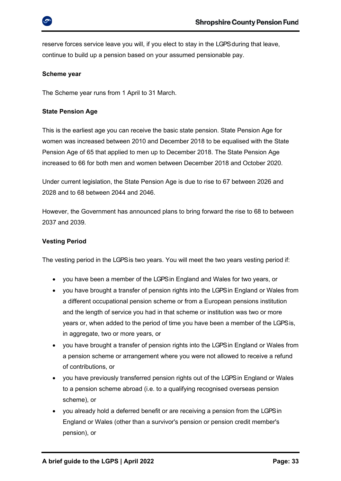

reserve forces service leave you will, if you elect to stay in the LGPS during that leave, continue to build up a pension based on your assumed pensionable pay.

### **Scheme year**

The Scheme year runs from 1 April to 31 March.

### **State Pension Age**

This is the earliest age you can receive the basic state pension. State Pension Age for women was increased between 2010 and December 2018 to be equalised with the State Pension Age of 65 that applied to men up to December 2018. The State Pension Age increased to 66 for both men and women between December 2018 and October 2020.

Under current legislation, the State Pension Age is due to rise to 67 between 2026 and 2028 and to 68 between 2044 and 2046.

However, the Government has [announced plans](https://www.gov.uk/government/uploads/system/uploads/attachment_data/file/630065/state-pension-age-review-final-report.pdf) to bring forward the rise to 68 to between 2037 and 2039.

### **Vesting Period**

The vesting period in the LGPS is two years. You will meet the two years vesting period if:

- you have been a member of the LGPS in England and Wales for two years, or
- you have brought a transfer of pension rights into the LGPS in England or Wales from a different occupational pension scheme or from a European pensions institution and the length of service you had in that scheme or institution was two or more years or, when added to the period of time you have been a member of the LGPS is, in aggregate, two or more years, or
- you have brought a transfer of pension rights into the LGPS in England or Wales from a pension scheme or arrangement where you were not allowed to receive a refund of contributions, or
- you have previously transferred pension rights out of the LGPS in England or Wales to a pension scheme abroad (i.e. to a qualifying recognised overseas pension scheme), or
- you already hold a deferred benefit or are receiving a pension from the LGPS in England or Wales (other than a survivor's pension or pension credit member's pension), or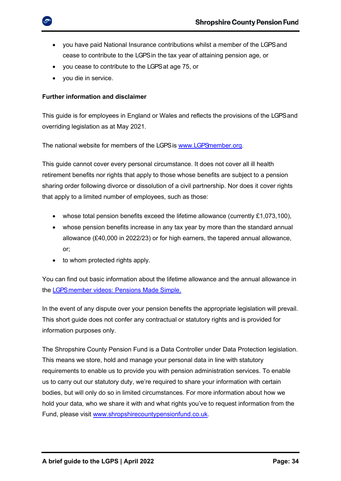- you have paid National Insurance contributions whilst a member of the LGPS and cease to contribute to the LGPS in the tax year of attaining pension age, or
- you cease to contribute to the LGPS at age 75, or
- you die in service.

### <span id="page-33-0"></span>**Further information and disclaimer**

This guide is for employees in England or Wales and reflects the provisions of the LGPS and overriding legislation as at May 2021.

The national website for members of the LGPS is www.LGPS member.org.

This guide cannot cover every personal circumstance. It does not cover all ill health retirement benefits nor rights that apply to those whose benefits are subject to a pension sharing order following divorce or dissolution of a civil partnership. Nor does it cover rights that apply to a limited number of employees, such as those:

- whose total pension benefits exceed the lifetime allowance (currently £1,073,100),
- whose pension benefits increase in any tax year by more than the standard annual allowance (£40,000 in 2022/23) or for high earners, the tapered annual allowance, or;
- to whom protected rights apply.

You can find out basic information about the lifetime allowance and the annual allowance in the LGPS member videos: Pensions Made Simple.

In the event of any dispute over your pension benefits the appropriate legislation will prevail. This short guide does not confer any contractual or statutory rights and is provided for information purposes only.

<span id="page-33-1"></span>The Shropshire County Pension Fund is a Data Controller under Data Protection legislation. This means we store, hold and manage your personal data in line with statutory requirements to enable us to provide you with pension administration services. To enable us to carry out our statutory duty, we're required to share your information with certain bodies, but will only do so in limited circumstances. For more information about how we hold your data, who we share it with and what rights you've to request information from the Fund, please visit [www.shropshirecountypensionfund.co.uk.](http://www.shropshirecountypensionfund.co.uk/)